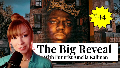# The Big Reveal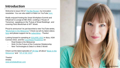#### **Introduction**

Welcome to issue #44 of [The Big Reveal,](https://www.ameliakallman.com/thebigreveal) my innovation newsletter. You can also watch or listen on YouTube [here.](https://youtu.be/tcLKIaXnYpQ)

Really enjoyed hosting the Smart Workplace Summit and Influencer's Lounge at ISE 2022, curating a 'House of Tomorrow', speaking on the 'Future of Smart Buildings', and covering Paris Blockchain & NFT Week.

Proud to announce I've just launched a new YouTube series, ['Blockchain in the Metaverse'](https://www.youtube.com/c/AmeliaKallman)! Check out all my latest videos [here](https://www.youtube.com/c/AmeliaKallman) and please support me by [subscribing](https://www.youtube.com/c/AmeliaKallman) - Thanks!

Looking forward to speaking at [SQUARE 2022](https://square-prop.com/about-square/) in Ibiza, ASM Connect 2022, and the [Couchbase Roadshow](https://www.couchbase.com/roadshow#agenda) on:

- Real Estate & the Metaverse
- Web 3 & the Future of the Customer Relationship
- New Technologies & Data in a Web 3 World

[Check out the latest episodes of XR Star](https://avnation.tv/podcast/xr-star-16-music-in-the-metaverse/) all about 'Music in the Metaverse' and '[XR of ISE 2022'](https://avnation.tv/series/xr-star/).

**Thanks!** Amelia [www.ameliakallman.com](http://www.ameliakallman.com)

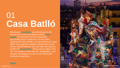### 01 **Casa Batlló**

Barcelona's [Casa Batlló](https://www.casabatllo.es/en/) recently partnered with pioneering AI artist and digital architect, Refik [Anadol, to showcase the most impressive,](https://refikanadol.com/)  psychedelic work of public art I've ever seen! Opening ISE 2022, Refik 's 'Living Architecture: Casa Batlló' was projection mapped onto the front of the famous Gaudi landmark and sold later that week as an NFT for <u>\$1.38 million</u>. Check out the video in the link. The museum itself uses AR, holographics, and sensory technology to create a truly memorable immersive experience.



#### **[Watch.](https://youtu.be/oOsAexs6Bl4?t=114)**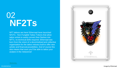#### 02 **NF2Ts**

NFT tattoos are here! Ethernaal have launched NF2Ts - Non-Fungible Tattoo Tokens that allow tattoo artists to easily convert their flashes into NFTs, no technical skills required. Ethernaal was born from the vision of a decentralised and collective organisation for the tattoo industry built to offer new artistic and financial possibilities. And of course this also means that soon you'll be able to tattoo your avatars in the metaverse!



©AmeliaKallman Image by Ethernaal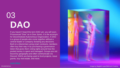# 03 **DAO**

If you haven't heard the term DAO yet, you will soon. Pronounced "Dow" as in Dow Jones, it is the acronym for Decentralised Autonomous Organization. A DAO is a group of people who come together without a central leader or company dictating any decisions. Built on a blockchain using smart contracts, members often buy their way in by purchasing a governance token that gives them voting rights around how the pooled money is spent and managed. Groups are not bound by geography and often communicate via Discord. DAOs are being used to fund projects, issue grants, buy real estate, and more.

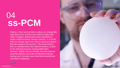#### 04 **ss -PCM**

Frankly, I think we 'd all like to reduce our energy bills right about now, and this new material might help make it happen. Researchers have developed a shape -stabilized phase change material, or ss -PCM, that can change state from solid to liquid and absorb thermal energy in the process. This stored heat is then re -released when the material hardens, similar to the chemical process of disposable hand warmers. Stable and eco -friendly, the new material could be ideal for use in the construction industry storing up to 24 times more heat than conventional concrete or wallboard.

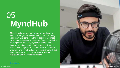## 05 **MyndHub**

MyndHub allows you to move, power and control electrical gadgets or devices with your mind. Using your brain as a controller, things act or react based on your concentration in real -time. Bringing "Jedi -like training to the masses", MyndHub can be used to improve attention, mental health, and cut down on screen time. Or you can use their SDK to come up with your own MyndHacks. For inspiration, check out their lightsaber and Thor's hammer examples. Kickstarting now - delivering this fall.

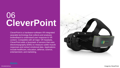#### 06 **CleverPoint**

CleverPoint is a hardware+software VR -integrated wearable technology that collects and analyses biofeedback to understand user response to VR content. Compatible with all major VR headsets, CleverPoint adds a facemask of sensors that uses electromyography (EMG) to measure subtle muscle responses and extract emotional data. Applications include healthcare, education, defense, science, entertainment, and marketing.



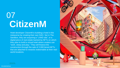### 07 **CitizenM**

Hotel developer CitizenM is building a hotel in the metaverse by creating their own DAO. Set in The Sandbox, they are acquiring a "LAND site", or a digital piece of real estate backed by NFTs on which they plan to build a virtual hotel where avatars can "work, sleep and play." They will finance the construction through the sale of 2,000 tiered-NFTs that are attached to rewards redeemable at their realworld locations.



**[Article.](https://hoteldesigns.net/industry-news/citizenm-becomes-first-hospitality-brand-to-by-property-in-the-metaverse/)**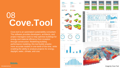#### 08 **Cove.Tool**

Cove.tool is an automated sustainability consultant. The software provides developers, architects, and project managers tools to help optimise buildings for energy and material efficiency from inception through construction. Redefining building performance modeling, this tool builds smarter, more accurate models in one -tenth of the time, while enabling the ability to analyse projects for energy, daylight, water, climate, and cost.



**[Website.](https://www.cove.tools/)**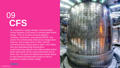#### 09 **CFS**

As a solution to climate change, Commonwealth Fusion Systems (CFS) aims to commercialise fusion energy. They 've recently received capital to construct, commission, and operate SPARC, the world 's first commercially relevant net energy fusion machine, and to begin work on ARC, the first commercial fusion power plant to open in the 2030s. New groundbreaking high -temperature superconducting magnets will enable compact fusion power plants that can be constructed faster and at lower cost. The goal is to deploy fusion power plants to meet global decarbonisation goals as fast as possible to combat climate change.

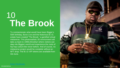#### 10 **The Brook**

To commemorate what would have been Biggie 's 50th birthday, Burst Live and the Notorious B.I.G. estate have created "The Brook," a gamified virtual metaverse, This photorealistic 3D environment will take us back to 1990s Brooklyn where visitors can step into Biggie 's world and experience the roots of hip hop -culture like never before. And of course, no metaverse project would be complete without an NFT drop: The B.I.G VIP tokens are available from<br>3rd June.